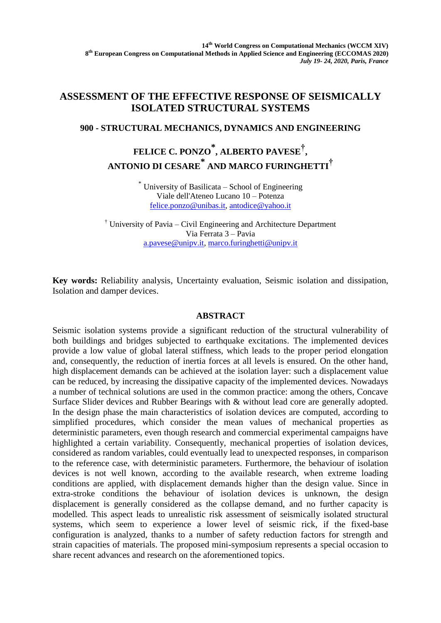## **ASSESSMENT OF THE EFFECTIVE RESPONSE OF SEISMICALLY ISOLATED STRUCTURAL SYSTEMS**

### **900 - STRUCTURAL MECHANICS, DYNAMICS AND ENGINEERING**

# **FELICE C. PONZO \* , ALBERTO PAVESE† ,**  $\mathbf{A}\mathbf{N}$ TONIO DI CESARE $^*$  AND MARCO FURINGHETTI $^\dagger$

\* University of Basilicata – School of Engineering Viale dell'Ateneo Lucano 10 – Potenza [felice.ponzo@unibas.it,](mailto:felice.ponzo@unibas.it) [antodice@yahoo.it](mailto:antodice@yahoo.it)

† University of Pavia – Civil Engineering and Architecture Department Via Ferrata 3 – Pavia [a.pavese@unipv.it,](mailto:a.pavese@unipv.it) [marco.furinghetti@unipv.it](mailto:marco.furinghetti@unipv.it)

**Key words:** Reliability analysis, Uncertainty evaluation, Seismic isolation and dissipation, Isolation and damper devices.

### **ABSTRACT**

Seismic isolation systems provide a significant reduction of the structural vulnerability of both buildings and bridges subjected to earthquake excitations. The implemented devices provide a low value of global lateral stiffness, which leads to the proper period elongation and, consequently, the reduction of inertia forces at all levels is ensured. On the other hand, high displacement demands can be achieved at the isolation layer: such a displacement value can be reduced, by increasing the dissipative capacity of the implemented devices. Nowadays a number of technical solutions are used in the common practice: among the others, Concave Surface Slider devices and Rubber Bearings with & without lead core are generally adopted. In the design phase the main characteristics of isolation devices are computed, according to simplified procedures, which consider the mean values of mechanical properties as deterministic parameters, even though research and commercial experimental campaigns have highlighted a certain variability. Consequently, mechanical properties of isolation devices, considered as random variables, could eventually lead to unexpected responses, in comparison to the reference case, with deterministic parameters. Furthermore, the behaviour of isolation devices is not well known, according to the available research, when extreme loading conditions are applied, with displacement demands higher than the design value. Since in extra-stroke conditions the behaviour of isolation devices is unknown, the design displacement is generally considered as the collapse demand, and no further capacity is modelled. This aspect leads to unrealistic risk assessment of seismically isolated structural systems, which seem to experience a lower level of seismic rick, if the fixed-base configuration is analyzed, thanks to a number of safety reduction factors for strength and strain capacities of materials. The proposed mini-symposium represents a special occasion to share recent advances and research on the aforementioned topics.